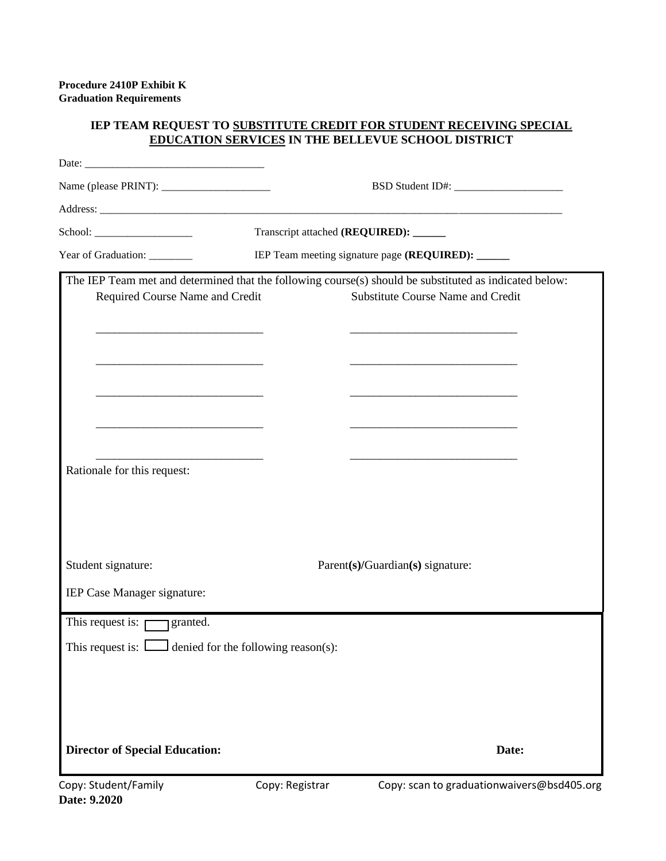## **IEP TEAM REQUEST TO SUBSTITUTE CREDIT FOR STUDENT RECEIVING SPECIAL EDUCATION SERVICES IN THE BELLEVUE SCHOOL DISTRICT**

|                                                                                                                        | Transcript attached (REQUIRED): ______            |                                                                                                                       |  |
|------------------------------------------------------------------------------------------------------------------------|---------------------------------------------------|-----------------------------------------------------------------------------------------------------------------------|--|
| Year of Graduation: ________                                                                                           | IEP Team meeting signature page (REQUIRED): _____ |                                                                                                                       |  |
|                                                                                                                        |                                                   | The IEP Team met and determined that the following course(s) should be substituted as indicated below:                |  |
| Required Course Name and Credit                                                                                        |                                                   | <b>Substitute Course Name and Credit</b>                                                                              |  |
| <u> 1989 - Johann Barbara, martin amerikan basar dan berasal dan berasal dari berasal dalam basar dalam berasal da</u> |                                                   | <u> 1989 - Johann Barbara, martin amerikan basar dan berasal dan berasal dalam basar dalam basar dalam basar dala</u> |  |
|                                                                                                                        |                                                   |                                                                                                                       |  |
| <u> 1989 - Johann John Stone, market fan it ferstjer fan it ferstjer fan it ferstjer fan it ferstjer fan it fers</u>   |                                                   |                                                                                                                       |  |
| <u> 1989 - Johann John Stone, markin film yn y brening yn y brening yn y brening yn y brening yn y brening yn y b</u>  |                                                   |                                                                                                                       |  |
|                                                                                                                        |                                                   |                                                                                                                       |  |
|                                                                                                                        |                                                   |                                                                                                                       |  |
| Rationale for this request:                                                                                            |                                                   |                                                                                                                       |  |
|                                                                                                                        |                                                   |                                                                                                                       |  |
|                                                                                                                        |                                                   |                                                                                                                       |  |
|                                                                                                                        |                                                   |                                                                                                                       |  |
| Student signature:                                                                                                     |                                                   | Parent(s)/Guardian(s) signature:                                                                                      |  |
|                                                                                                                        |                                                   |                                                                                                                       |  |
| IEP Case Manager signature:                                                                                            |                                                   |                                                                                                                       |  |
| This request is: $\Box$ granted.                                                                                       |                                                   |                                                                                                                       |  |
| This request is: $\Box$ denied for the following reason(s):                                                            |                                                   |                                                                                                                       |  |
|                                                                                                                        |                                                   |                                                                                                                       |  |
|                                                                                                                        |                                                   |                                                                                                                       |  |
|                                                                                                                        |                                                   |                                                                                                                       |  |
| <b>Director of Special Education:</b>                                                                                  |                                                   | Date:                                                                                                                 |  |